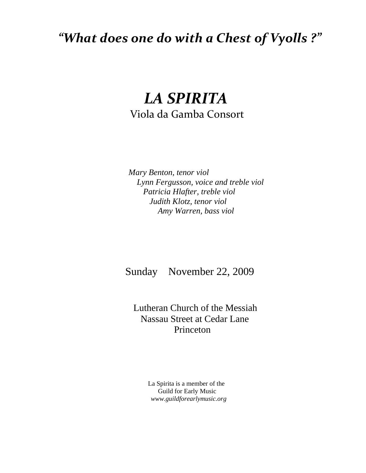## *"What does one do with a Chest of Vyolls ?"*

## *LA SPIRITA*  Viola da Gamba Consort

 *Mary Benton, tenor viol Lynn Fergusson, voice and treble viol Patricia Hlafter, treble viol Judith Klotz, tenor viol Amy Warren, bass viol* 

Sunday November 22, 2009

 Lutheran Church of the Messiah Nassau Street at Cedar Lane Princeton

> La Spirita is a member of the Guild for Early Music  *www.guildforearlymusic.org*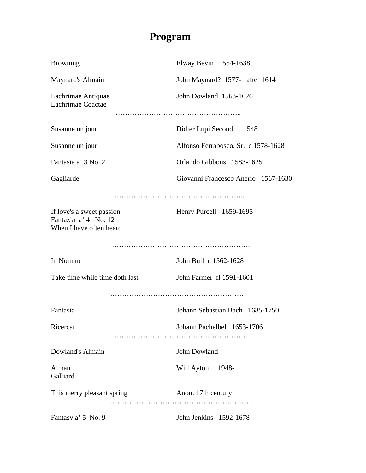## **Program**

| <b>Browning</b>                                                              | Elway Bevin 1554-1638               |
|------------------------------------------------------------------------------|-------------------------------------|
| Maynard's Almain                                                             | John Maynard? 1577- after 1614      |
| Lachrimae Antiquae<br>Lachrimae Coactae                                      | John Dowland 1563-1626              |
|                                                                              |                                     |
| Susanne un jour                                                              | Didier Lupi Second c 1548           |
| Susanne un jour                                                              | Alfonso Ferrabosco, Sr. c 1578-1628 |
| Fantasia a' 3 No. 2                                                          | Orlando Gibbons 1583-1625           |
| Gagliarde                                                                    | Giovanni Francesco Anerio 1567-1630 |
|                                                                              |                                     |
| If love's a sweet passion<br>Fantazia a' 4 No. 12<br>When I have often heard | Henry Purcell 1659-1695             |
|                                                                              |                                     |
| In Nomine                                                                    | John Bull c 1562-1628               |
| Take time while time doth last                                               | John Farmer fl 1591-1601            |
|                                                                              |                                     |
| Fantasia                                                                     | Johann Sebastian Bach 1685-1750     |
| Ricercar                                                                     | Johann Pachelbel 1653-1706          |
|                                                                              |                                     |
| Dowland's Almain                                                             | John Dowland                        |
| Alman<br>Galliard                                                            | Will Ayton 1948-                    |
| This merry pleasant spring                                                   | Anon. 17th century                  |
| Fantasy a' 5 No. 9                                                           | John Jenkins 1592-1678              |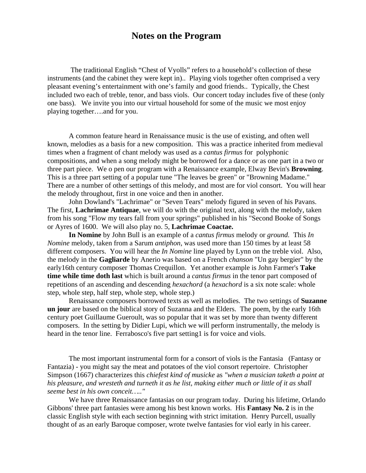## **Notes on the Program**

 The traditional English "Chest of Vyolls" refers to a household's collection of these instruments (and the cabinet they were kept in).. Playing viols together often comprised a very pleasant evening's entertainment with one's family and good friends.. Typically, the Chest included two each of treble, tenor, and bass viols. Our concert today includes five of these (only one bass). We invite you into our virtual household for some of the music we most enjoy playing together….and for you.

 A common feature heard in Renaissance music is the use of existing, and often well known, melodies as a basis for a new composition. This was a practice inherited from medieval times when a fragment of chant melody was used as a *cantus firmus* for polyphonic compositions, and when a song melody might be borrowed for a dance or as one part in a two or three part piece. We o pen our program with a Renaissance example, Elway Bevin's **Browning**. This is a three part setting of a popular tune "The leaves be green" or "Browning Madame." There are a number of other settings of this melody, and most are for viol consort. You will hear the melody throughout, first in one voice and then in another.

 John Dowland's "Lachrimae" or "Seven Tears" melody figured in seven of his Pavans. The first, **Lachrimae Antiquae**, we will do with the original text, along with the melody, taken from his song "Flow my tears fall from your springs" published in his "Second Booke of Songs or Ayres of 1600. We will also play no. 5, **Lachrimae Coactae.**

**In Nomine** by John Bull is an example of a *cantus firmus* melody or *ground.* This *In Nomine* melody, taken from a Sarum *antiphon*, was used more than 150 times by at least 58 different composers. You will hear the *In Nomine* line played by Lynn on the treble viol. Also, the melody in the **Gagliarde** by Anerio was based on a French *chanson* "Un gay bergier" by the early16th century composer Thomas Crequillon. Yet another example is John Farmer's **Take time while time doth last** which is built around a *cantus firmus* in the tenor part composed of repetitions of an ascending and descending *hexachord* (a *hexachord* is a six note scale: whole step, whole step, half step, whole step, whole step.)

 Renaissance composers borrowed texts as well as melodies. The two settings of **Suzanne un jour** are based on the biblical story of Suzanna and the Elders. The poem, by the early 16th century poet Guillaume Gueroult, was so popular that it was set by more than twenty different composers. In the setting by Didier Lupi, which we will perform instrumentally, the melody is heard in the tenor line. Ferrabosco's five part setting1 is for voice and viols.

The most important instrumental form for a consort of viols is the Fantasia (Fantasy or Fantazia) - you might say the meat and potatoes of the viol consort repertoire. Christopher Simpson (1667) characterizes this *chiefest kind of musicke* as *"when a musician taketh a point at his pleasure, and wresteth and turneth it as he list, making either much or little of it as shall seeme best in his own conceit….."*

 We have three Renaissance fantasias on our program today. During his lifetime, Orlando Gibbons' three part fantasies were among his best known works. His **Fantasy No. 2** is in the classic English style with each section beginning with strict imitation. Henry Purcell, usually thought of as an early Baroque composer, wrote twelve fantasies for viol early in his career.